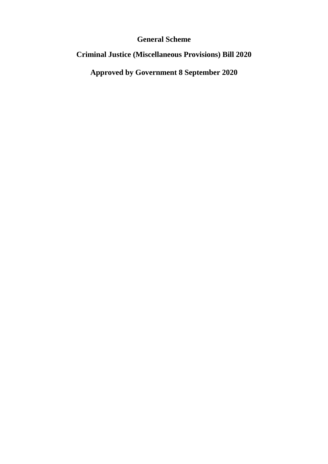# **General Scheme**

# **Criminal Justice (Miscellaneous Provisions) Bill 2020**

**Approved by Government 8 September 2020**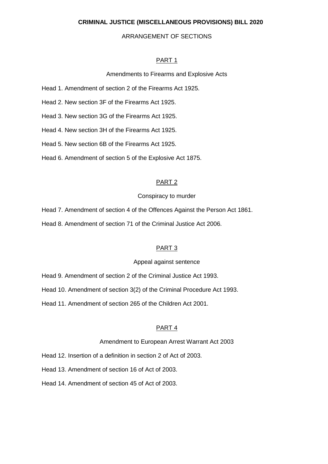#### **CRIMINAL JUSTICE (MISCELLANEOUS PROVISIONS) BILL 2020**

#### ARRANGEMENT OF SECTIONS

#### PART 1

#### Amendments to Firearms and Explosive Acts

- Head 1. Amendment of section 2 of the Firearms Act 1925.
- Head 2. New section 3F of the Firearms Act 1925.
- Head 3. New section 3G of the Firearms Act 1925.
- Head 4. New section 3H of the Firearms Act 1925.
- Head 5. New section 6B of the Firearms Act 1925.
- Head 6. Amendment of section 5 of the Explosive Act 1875.

#### PART 2

#### Conspiracy to murder

- Head 7. Amendment of section 4 of the Offences Against the Person Act 1861.
- Head 8. Amendment of section 71 of the Criminal Justice Act 2006.

#### PART 3

#### Appeal against sentence

- Head 9. Amendment of section 2 of the Criminal Justice Act 1993.
- Head 10. Amendment of section 3(2) of the Criminal Procedure Act 1993.
- Head 11. Amendment of section 265 of the Children Act 2001.

#### PART 4

#### Amendment to European Arrest Warrant Act 2003

- Head 12. Insertion of a definition in section 2 of Act of 2003.
- Head 13. Amendment of section 16 of Act of 2003.
- Head 14. Amendment of section 45 of Act of 2003.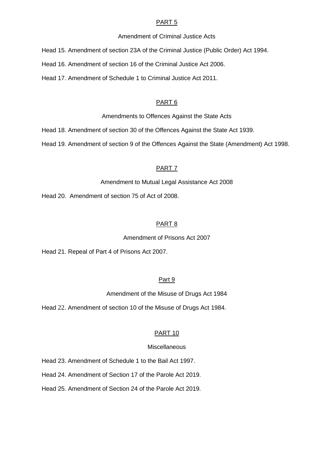#### PART<sub>5</sub>

#### Amendment of Criminal Justice Acts

Head 15. Amendment of section 23A of the Criminal Justice (Public Order) Act 1994.

Head 16. Amendment of section 16 of the Criminal Justice Act 2006.

Head 17. Amendment of Schedule 1 to Criminal Justice Act 2011.

#### PART 6

Amendments to Offences Against the State Acts

Head 18. Amendment of section 30 of the Offences Against the State Act 1939.

Head 19. Amendment of section 9 of the Offences Against the State (Amendment) Act 1998.

#### PART 7

Amendment to Mutual Legal Assistance Act 2008

Head 20. Amendment of section 75 of Act of 2008.

#### PART 8

Amendment of Prisons Act 2007

Head 21. Repeal of Part 4 of Prisons Act 2007.

#### Part 9

Amendment of the Misuse of Drugs Act 1984

Head 22. Amendment of section 10 of the Misuse of Drugs Act 1984.

#### PART 10

#### Miscellaneous

Head 23. Amendment of Schedule 1 to the Bail Act 1997.

Head 24. Amendment of Section 17 of the Parole Act 2019.

Head 25. Amendment of Section 24 of the Parole Act 2019.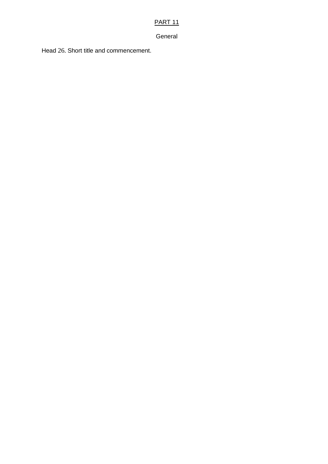## PART 11

#### General

Head 26. Short title and commencement.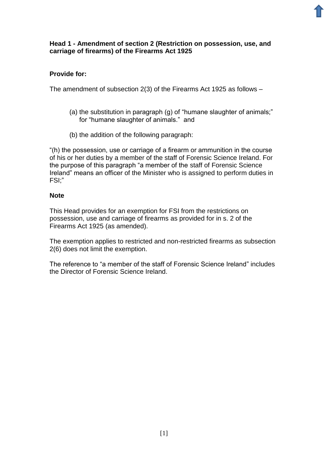#### **Head 1 - Amendment of section 2 (Restriction on possession, use, and carriage of firearms) of the Firearms Act 1925**

## **Provide for:**

The amendment of subsection 2(3) of the Firearms Act 1925 as follows –

- (a) the substitution in paragraph (g) of "humane slaughter of animals;" for "humane slaughter of animals." and
- (b) the addition of the following paragraph:

"(h) the possession, use or carriage of a firearm or ammunition in the course of his or her duties by a member of the staff of Forensic Science Ireland. For the purpose of this paragraph "a member of the staff of Forensic Science Ireland" means an officer of the Minister who is assigned to perform duties in FSI;"

#### **Note**

This Head provides for an exemption for FSI from the restrictions on possession, use and carriage of firearms as provided for in s. 2 of the Firearms Act 1925 (as amended).

The exemption applies to restricted and non-restricted firearms as subsection 2(6) does not limit the exemption.

The reference to "a member of the staff of Forensic Science Ireland" includes the Director of Forensic Science Ireland.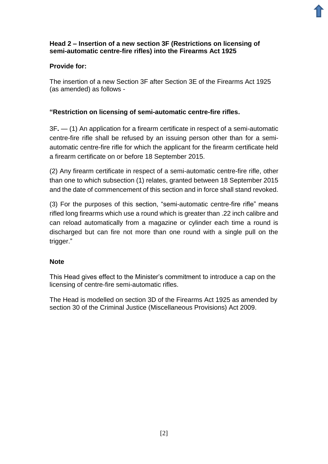## **Head 2 – Insertion of a new section 3F (Restrictions on licensing of semi-automatic centre-fire rifles) into the Firearms Act 1925**

## **Provide for:**

The insertion of a new Section 3F after Section 3E of the Firearms Act 1925 (as amended) as follows -

## **"Restriction on licensing of semi-automatic centre-fire rifles.**

3F**.** — (1) An application for a firearm certificate in respect of a semi-automatic centre-fire rifle shall be refused by an issuing person other than for a semiautomatic centre-fire rifle for which the applicant for the firearm certificate held a firearm certificate on or before 18 September 2015.

(2) Any firearm certificate in respect of a semi-automatic centre-fire rifle, other than one to which subsection (1) relates, granted between 18 September 2015 and the date of commencement of this section and in force shall stand revoked.

(3) For the purposes of this section, "semi-automatic centre-fire rifle" means rifled long firearms which use a round which is greater than .22 inch calibre and can reload automatically from a magazine or cylinder each time a round is discharged but can fire not more than one round with a single pull on the trigger."

## **Note**

This Head gives effect to the Minister's commitment to introduce a cap on the licensing of centre-fire semi-automatic rifles.

The Head is modelled on section 3D of the Firearms Act 1925 as amended by section 30 of the Criminal Justice (Miscellaneous Provisions) Act 2009.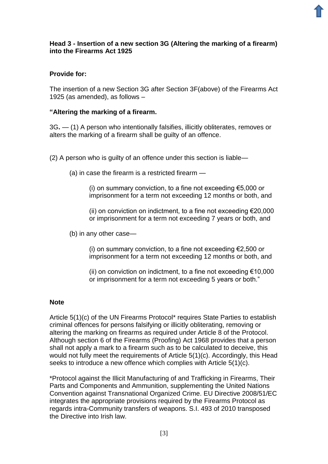## **Head 3 - Insertion of a new section 3G (Altering the marking of a firearm) into the Firearms Act 1925**

## **Provide for:**

The insertion of a new Section 3G after Section 3F(above) of the Firearms Act 1925 (as amended), as follows –

#### **"Altering the marking of a firearm.**

3G**.** — (1) A person who intentionally falsifies, illicitly obliterates, removes or alters the marking of a firearm shall be guilty of an offence.

(2) A person who is guilty of an offence under this section is liable—

(a) in case the firearm is a restricted firearm —

(i) on summary conviction, to a fine not exceeding  $\epsilon$ 5,000 or imprisonment for a term not exceeding 12 months or both, and

(ii) on conviction on indictment, to a fine not exceeding  $\epsilon$ 20,000 or imprisonment for a term not exceeding 7 years or both, and

(b) in any other case—

(i) on summary conviction, to a fine not exceeding  $E$ , 500 or imprisonment for a term not exceeding 12 months or both, and

(ii) on conviction on indictment, to a fine not exceeding  $\epsilon$ 10,000 or imprisonment for a term not exceeding 5 years or both."

#### **Note**

Article 5(1)(c) of the UN Firearms Protocol\* requires State Parties to establish criminal offences for persons falsifying or illicitly obliterating, removing or altering the marking on firearms as required under Article 8 of the Protocol. Although section 6 of the Firearms (Proofing) Act 1968 provides that a person shall not apply a mark to a firearm such as to be calculated to deceive, this would not fully meet the requirements of Article 5(1)(c). Accordingly, this Head seeks to introduce a new offence which complies with Article 5(1)(c).

\*Protocol against the Illicit Manufacturing of and Trafficking in Firearms, Their Parts and Components and Ammunition, supplementing the United Nations Convention against Transnational Organized Crime. EU Directive 2008/51/EC integrates the appropriate provisions required by the Firearms Protocol as regards intra-Community transfers of weapons. S.I. 493 of 2010 transposed the Directive into Irish law.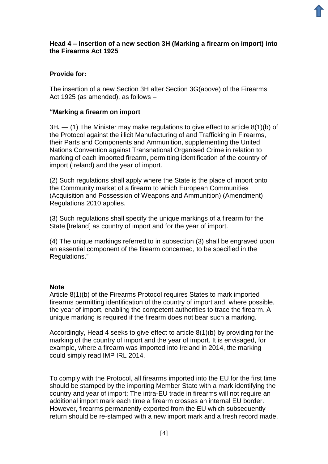## **Head 4 – Insertion of a new section 3H (Marking a firearm on import) into the Firearms Act 1925**

## **Provide for:**

The insertion of a new Section 3H after Section 3G(above) of the Firearms Act 1925 (as amended), as follows –

#### **"Marking a firearm on import**

3H**.** — (1) The Minister may make regulations to give effect to article 8(1)(b) of the Protocol against the illicit Manufacturing of and Trafficking in Firearms, their Parts and Components and Ammunition, supplementing the United Nations Convention against Transnational Organised Crime in relation to marking of each imported firearm, permitting identification of the country of import (Ireland) and the year of import.

(2) Such regulations shall apply where the State is the place of import onto the Community market of a firearm to which European Communities (Acquisition and Possession of Weapons and Ammunition) (Amendment) Regulations 2010 applies.

(3) Such regulations shall specify the unique markings of a firearm for the State [Ireland] as country of import and for the year of import.

(4) The unique markings referred to in subsection (3) shall be engraved upon an essential component of the firearm concerned, to be specified in the Regulations."

#### **Note**

Article 8(1)(b) of the Firearms Protocol requires States to mark imported firearms permitting identification of the country of import and, where possible, the year of import, enabling the competent authorities to trace the firearm. A unique marking is required if the firearm does not bear such a marking.

Accordingly, Head 4 seeks to give effect to article 8(1)(b) by providing for the marking of the country of import and the year of import. It is envisaged, for example, where a firearm was imported into Ireland in 2014, the marking could simply read IMP IRL 2014.

To comply with the Protocol, all firearms imported into the EU for the first time should be stamped by the importing Member State with a mark identifying the country and year of import; The intra-EU trade in firearms will not require an additional import mark each time a firearm crosses an internal EU border. However, firearms permanently exported from the EU which subsequently return should be re-stamped with a new import mark and a fresh record made.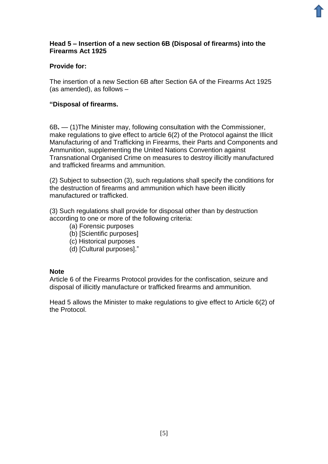## **Head 5 – Insertion of a new section 6B (Disposal of firearms) into the Firearms Act 1925**

## **Provide for:**

The insertion of a new Section 6B after Section 6A of the Firearms Act 1925 (as amended), as follows –

## **"Disposal of firearms.**

6B**.** — (1)The Minister may, following consultation with the Commissioner, make regulations to give effect to article 6(2) of the Protocol against the Illicit Manufacturing of and Trafficking in Firearms, their Parts and Components and Ammunition, supplementing the United Nations Convention against Transnational Organised Crime on measures to destroy illicitly manufactured and trafficked firearms and ammunition.

(2) Subject to subsection (3), such regulations shall specify the conditions for the destruction of firearms and ammunition which have been illicitly manufactured or trafficked.

(3) Such regulations shall provide for disposal other than by destruction according to one or more of the following criteria:

- (a) Forensic purposes
- (b) [Scientific purposes]
- (c) Historical purposes
- (d) [Cultural purposes]."

#### **Note**

Article 6 of the Firearms Protocol provides for the confiscation, seizure and disposal of illicitly manufacture or trafficked firearms and ammunition.

Head 5 allows the Minister to make regulations to give effect to Article 6(2) of the Protocol.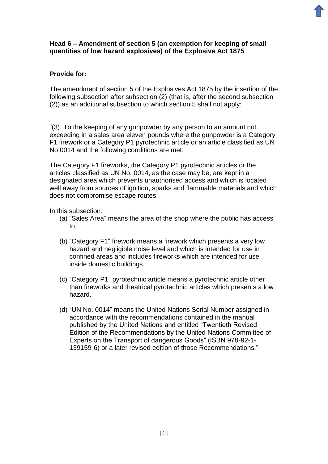#### **Head 6 – Amendment of section 5 (an exemption for keeping of small quantities of low hazard explosives) of the Explosive Act 1875**

## **Provide for:**

The amendment of section 5 of the Explosives Act 1875 by the insertion of the following subsection after subsection (2) (that is, after the second subsection (2)) as an additional subsection to which section 5 shall not apply:

"(3). To the keeping of any gunpowder by any person to an amount not exceeding in a sales area eleven pounds where the gunpowder is a Category F1 firework or a Category P1 pyrotechnic article or an article classified as UN No 0014 and the following conditions are met:

The Category F1 fireworks, the Category P1 pyrotechnic articles or the articles classified as UN No. 0014, as the case may be, are kept in a designated area which prevents unauthorised access and which is located well away from sources of ignition, sparks and flammable materials and which does not compromise escape routes.

In this subsection:

- (a) "Sales Area" means the area of the shop where the public has access to.
- (b) "Category F1" firework means a firework which presents a very low hazard and negligible noise level and which is intended for use in confined areas and includes fireworks which are intended for use inside domestic buildings.
- (c) "Category P1" pyrotechnic article means a pyrotechnic article other than fireworks and theatrical pyrotechnic articles which presents a low hazard.
- (d) "UN No. 0014" means the United Nations Serial Number assigned in accordance with the recommendations contained in the manual published by the United Nations and entitled "Twentieth Revised Edition of the Recommendations by the United Nations Committee of Experts on the Transport of dangerous Goods" (ISBN 978-92-1- 139159-6) or a later revised edition of those Recommendations."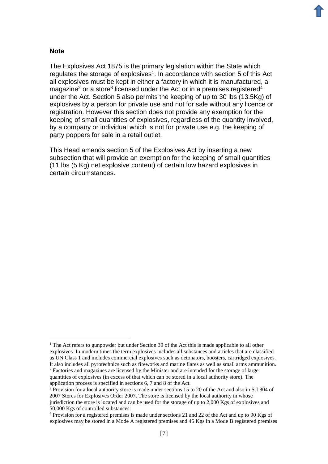#### **Note**

1

The Explosives Act 1875 is the primary legislation within the State which regulates the storage of explosives<sup>1</sup>. In accordance with section 5 of this Act all explosives must be kept in either a factory in which it is manufactured, a magazine<sup>2</sup> or a store<sup>3</sup> licensed under the Act or in a premises registered<sup>4</sup> under the Act. Section 5 also permits the keeping of up to 30 lbs (13.5Kg) of explosives by a person for private use and not for sale without any licence or registration. However this section does not provide any exemption for the keeping of small quantities of explosives, regardless of the quantity involved, by a company or individual which is not for private use e.g. the keeping of party poppers for sale in a retail outlet.

This Head amends section 5 of the Explosives Act by inserting a new subsection that will provide an exemption for the keeping of small quantities (11 lbs (5 Kg) net explosive content) of certain low hazard explosives in certain circumstances.

 $1$  The Act refers to gunpowder but under Section 39 of the Act this is made applicable to all other explosives. In modern times the term explosives includes all substances and articles that are classified as UN Class 1 and includes commercial explosives such as detonators, boosters, cartridged explosives. It also includes all pyrotechnics such as fireworks and marine flares as well as small arms ammunition. <sup>2</sup> Factories and magazines are licensed by the Minister and are intended for the storage of large quantities of explosives (in excess of that which can be stored in a local authority store). The application process is specified in sections 6, 7 and 8 of the Act.

<sup>&</sup>lt;sup>3</sup> Provision for a local authority store is made under sections 15 to 20 of the Act and also in S.I 804 of 2007 Stores for Explosives Order 2007. The store is licensed by the local authority in whose jurisdiction the store is located and can be used for the storage of up to 2,000 Kgs of explosives and 50,000 Kgs of controlled substances.

<sup>4</sup> Provision for a registered premises is made under sections 21 and 22 of the Act and up to 90 Kgs of explosives may be stored in a Mode A registered premises and 45 Kgs in a Mode B registered premises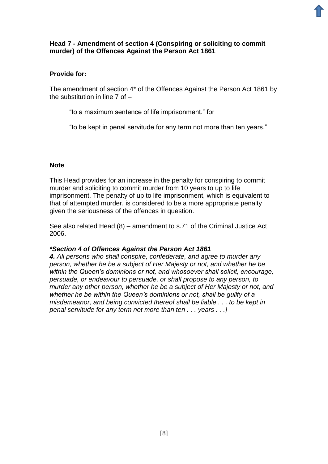#### **Head 7 - Amendment of section 4 (Conspiring or soliciting to commit murder) of the Offences Against the Person Act 1861**

#### **Provide for:**

The amendment of section 4\* of the Offences Against the Person Act 1861 by the substitution in line 7 of –

"to a maximum sentence of life imprisonment." for

"to be kept in penal servitude for any term not more than ten years."

#### **Note**

This Head provides for an increase in the penalty for conspiring to commit murder and soliciting to commit murder from 10 years to up to life imprisonment. The penalty of up to life imprisonment, which is equivalent to that of attempted murder, is considered to be a more appropriate penalty given the seriousness of the offences in question.

See also related Head (8) – amendment to s.71 of the Criminal Justice Act 2006.

#### *\*Section 4 of Offences Against the Person Act 1861*

*4. All persons who shall conspire, confederate, and agree to murder any person, whether he be a subject of Her Majesty or not, and whether he be within the Queen's dominions or not, and whosoever shall solicit, encourage, persuade, or endeavour to persuade, or shall propose to any person, to murder any other person, whether he be a subject of Her Majesty or not, and whether he be within the Queen's dominions or not, shall be guilty of a misdemeanor, and being convicted thereof shall be liable . . . to be kept in penal servitude for any term not more than ten . . . years . . .]*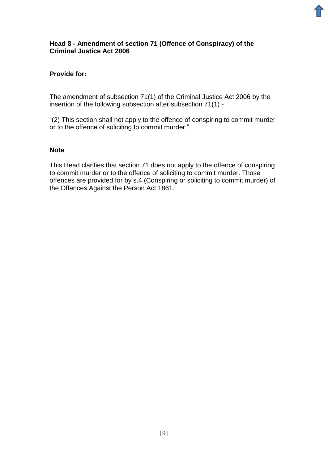#### **Head 8 - Amendment of section 71 (Offence of Conspiracy) of the Criminal Justice Act 2006**

## **Provide for:**

The amendment of subsection 71(1) of the Criminal Justice Act 2006 by the insertion of the following subsection after subsection 71(1) -

"(2) This section shall not apply to the offence of conspiring to commit murder or to the offence of soliciting to commit murder."

#### **Note**

This Head clarifies that section 71 does not apply to the offence of conspiring to commit murder or to the offence of soliciting to commit murder. Those offences are provided for by s.4 (Conspiring or soliciting to commit murder) of the Offences Against the Person Act 1861.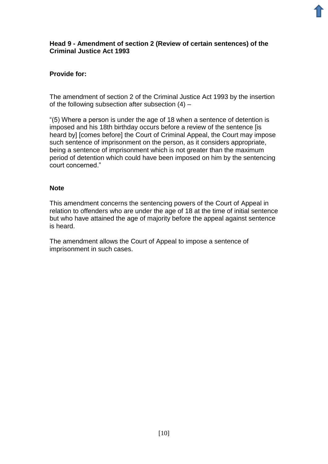#### **Head 9 - Amendment of section 2 (Review of certain sentences) of the Criminal Justice Act 1993**

## **Provide for:**

The amendment of section 2 of the Criminal Justice Act 1993 by the insertion of the following subsection after subsection (4) –

"(5) Where a person is under the age of 18 when a sentence of detention is imposed and his 18th birthday occurs before a review of the sentence [is heard by] [comes before] the Court of Criminal Appeal, the Court may impose such sentence of imprisonment on the person, as it considers appropriate, being a sentence of imprisonment which is not greater than the maximum period of detention which could have been imposed on him by the sentencing court concerned."

#### **Note**

This amendment concerns the sentencing powers of the Court of Appeal in relation to offenders who are under the age of 18 at the time of initial sentence but who have attained the age of majority before the appeal against sentence is heard.

The amendment allows the Court of Appeal to impose a sentence of imprisonment in such cases.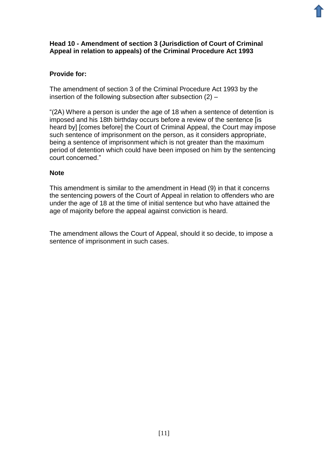## **Head 10 - Amendment of section 3 (Jurisdiction of Court of Criminal Appeal in relation to appeals) of the Criminal Procedure Act 1993**

## **Provide for:**

The amendment of section 3 of the Criminal Procedure Act 1993 by the insertion of the following subsection after subsection (2) –

"(2A) Where a person is under the age of 18 when a sentence of detention is imposed and his 18th birthday occurs before a review of the sentence [is heard by] [comes before] the Court of Criminal Appeal, the Court may impose such sentence of imprisonment on the person, as it considers appropriate, being a sentence of imprisonment which is not greater than the maximum period of detention which could have been imposed on him by the sentencing court concerned."

## **Note**

This amendment is similar to the amendment in Head (9) in that it concerns the sentencing powers of the Court of Appeal in relation to offenders who are under the age of 18 at the time of initial sentence but who have attained the age of majority before the appeal against conviction is heard.

The amendment allows the Court of Appeal, should it so decide, to impose a sentence of imprisonment in such cases.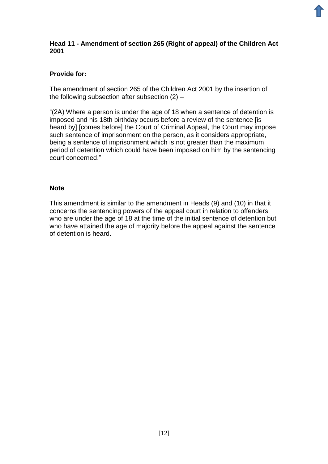## **Head 11 - Amendment of section 265 (Right of appeal) of the Children Act 2001**

## **Provide for:**

The amendment of section 265 of the Children Act 2001 by the insertion of the following subsection after subsection (2) –

"(2A) Where a person is under the age of 18 when a sentence of detention is imposed and his 18th birthday occurs before a review of the sentence [is heard by] [comes before] the Court of Criminal Appeal, the Court may impose such sentence of imprisonment on the person, as it considers appropriate, being a sentence of imprisonment which is not greater than the maximum period of detention which could have been imposed on him by the sentencing court concerned."

#### **Note**

This amendment is similar to the amendment in Heads (9) and (10) in that it concerns the sentencing powers of the appeal court in relation to offenders who are under the age of 18 at the time of the initial sentence of detention but who have attained the age of majority before the appeal against the sentence of detention is heard.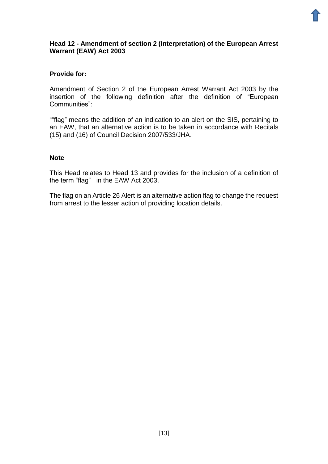#### **Head 12 - Amendment of section 2 (Interpretation) of the European Arrest Warrant (EAW) Act 2003**

#### **Provide for:**

Amendment of Section 2 of the European Arrest Warrant Act 2003 by the insertion of the following definition after the definition of "European Communities":

""flag" means the addition of an indication to an alert on the SIS, pertaining to an EAW, that an alternative action is to be taken in accordance with Recitals (15) and (16) of Council Decision 2007/533/JHA.

#### **Note**

This Head relates to Head 13 and provides for the inclusion of a definition of the term "flag" in the EAW Act 2003.

The flag on an Article 26 Alert is an alternative action flag to change the request from arrest to the lesser action of providing location details.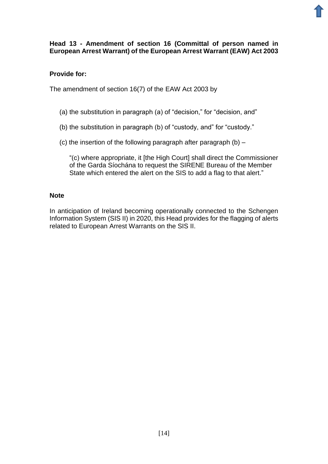## **Head 13 - Amendment of section 16 (Committal of person named in European Arrest Warrant) of the European Arrest Warrant (EAW) Act 2003**

## **Provide for:**

The amendment of section 16(7) of the EAW Act 2003 by

- (a) the substitution in paragraph (a) of "decision," for "decision, and"
- (b) the substitution in paragraph (b) of "custody, and" for "custody."
- (c) the insertion of the following paragraph after paragraph (b) –

"(c) where appropriate, it [the High Court] shall direct the Commissioner of the Garda Síochána to request the SIRENE Bureau of the Member State which entered the alert on the SIS to add a flag to that alert."

#### **Note**

In anticipation of Ireland becoming operationally connected to the Schengen Information System (SIS II) in 2020, this Head provides for the flagging of alerts related to European Arrest Warrants on the SIS II.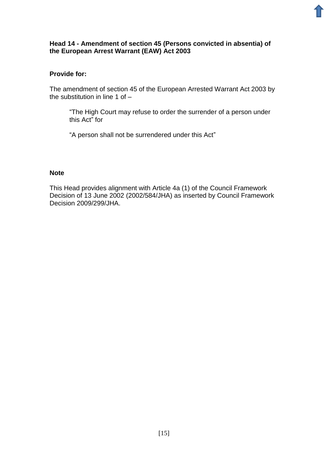## **Head 14 - Amendment of section 45 (Persons convicted in absentia) of the European Arrest Warrant (EAW) Act 2003**

## **Provide for:**

The amendment of section 45 of the European Arrested Warrant Act 2003 by the substitution in line 1 of –

"The High Court may refuse to order the surrender of a person under this Act" for

"A person shall not be surrendered under this Act"

#### **Note**

This Head provides alignment with Article 4a (1) of the Council Framework Decision of 13 June 2002 (2002/584/JHA) as inserted by Council Framework Decision 2009/299/JHA.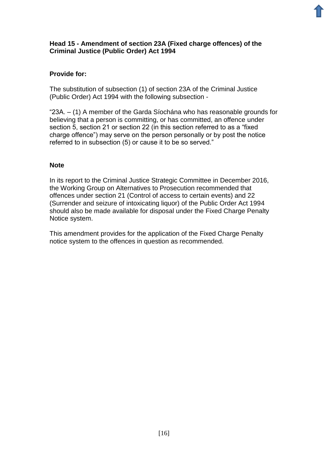## **Head 15 - Amendment of section 23A (Fixed charge offences) of the Criminal Justice (Public Order) Act 1994**

## **Provide for:**

The substitution of subsection (1) of section 23A of the Criminal Justice (Public Order) Act 1994 with the following subsection -

"23A. – (1) A member of the Garda Síochána who has reasonable grounds for believing that a person is committing, or has committed, an offence under section 5, section 21 or section 22 (in this section referred to as a "fixed charge offence") may serve on the person personally or by post the notice referred to in subsection (5) or cause it to be so served."

#### **Note**

In its report to the Criminal Justice Strategic Committee in December 2016, the Working Group on Alternatives to Prosecution recommended that offences under section 21 (Control of access to certain events) and 22 (Surrender and seizure of intoxicating liquor) of the Public Order Act 1994 should also be made available for disposal under the Fixed Charge Penalty Notice system.

This amendment provides for the application of the Fixed Charge Penalty notice system to the offences in question as recommended.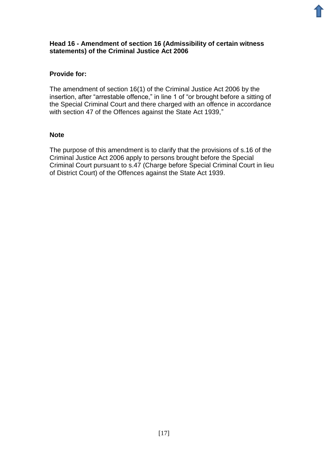#### **Head 16 - Amendment of section 16 (Admissibility of certain witness statements) of the Criminal Justice Act 2006**

## **Provide for:**

The amendment of section 16(1) of the Criminal Justice Act 2006 by the insertion, after "arrestable offence," in line 1 of "or brought before a sitting of the Special Criminal Court and there charged with an offence in accordance with section 47 of the Offences against the State Act 1939,"

#### **Note**

The purpose of this amendment is to clarify that the provisions of s.16 of the Criminal Justice Act 2006 apply to persons brought before the Special Criminal Court pursuant to s.47 (Charge before Special Criminal Court in lieu of District Court) of the Offences against the State Act 1939.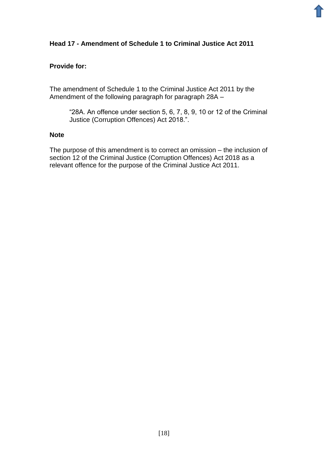## **Head 17 - Amendment of Schedule 1 to Criminal Justice Act 2011**

#### **Provide for:**

The amendment of Schedule 1 to the Criminal Justice Act 2011 by the Amendment of the following paragraph for paragraph 28A –

"28A. An offence under section 5, 6, 7, 8, 9, 10 or 12 of the Criminal Justice (Corruption Offences) Act 2018.".

#### **Note**

The purpose of this amendment is to correct an omission – the inclusion of section 12 of the Criminal Justice (Corruption Offences) Act 2018 as a relevant offence for the purpose of the Criminal Justice Act 2011.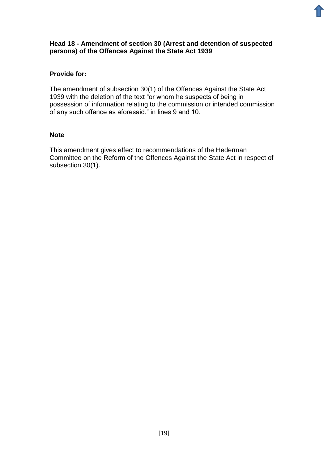#### **Head 18 - Amendment of section 30 (Arrest and detention of suspected persons) of the Offences Against the State Act 1939**

## **Provide for:**

The amendment of subsection 30(1) of the Offences Against the State Act 1939 with the deletion of the text "or whom he suspects of being in possession of information relating to the commission or intended commission of any such offence as aforesaid." in lines 9 and 10.

#### **Note**

This amendment gives effect to recommendations of the Hederman Committee on the Reform of the Offences Against the State Act in respect of subsection 30(1).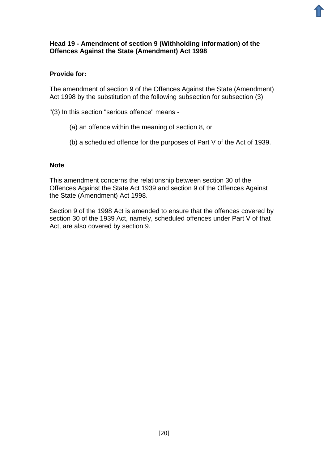#### **Head 19 - Amendment of section 9 (Withholding information) of the Offences Against the State (Amendment) Act 1998**

## **Provide for:**

The amendment of section 9 of the Offences Against the State (Amendment) Act 1998 by the substitution of the following subsection for subsection (3)

"(3) In this section "serious offence" means -

- (a) an offence within the meaning of section 8, or
- (b) a scheduled offence for the purposes of Part V of the Act of 1939.

#### **Note**

This amendment concerns the relationship between section 30 of the Offences Against the State Act 1939 and section 9 of the Offences Against the State (Amendment) Act 1998.

Section 9 of the 1998 Act is amended to ensure that the offences covered by section 30 of the 1939 Act, namely, scheduled offences under Part V of that Act, are also covered by section 9.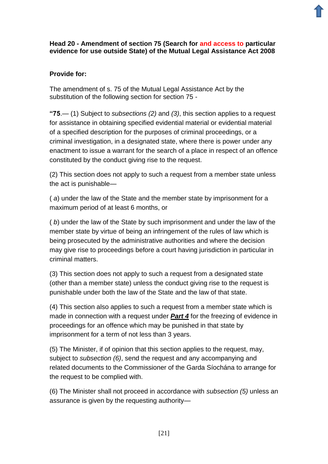## **Head 20 - Amendment of section 75 (Search for and access to particular evidence for use outside State) of the Mutual Legal Assistance Act 2008**

## **Provide for:**

The amendment of s. 75 of the Mutual Legal Assistance Act by the substitution of the following section for section 75 -

**"75**.— (1) Subject to *subsections (2)* and *(3)*, this section applies to a request for assistance in obtaining specified evidential material or evidential material of a specified description for the purposes of criminal proceedings, or a criminal investigation, in a designated state, where there is power under any enactment to issue a warrant for the search of a place in respect of an offence constituted by the conduct giving rise to the request.

(2) This section does not apply to such a request from a member state unless the act is punishable—

( *a*) under the law of the State and the member state by imprisonment for a maximum period of at least 6 months, or

( *b*) under the law of the State by such imprisonment and under the law of the member state by virtue of being an infringement of the rules of law which is being prosecuted by the administrative authorities and where the decision may give rise to proceedings before a court having jurisdiction in particular in criminal matters.

(3) This section does not apply to such a request from a designated state (other than a member state) unless the conduct giving rise to the request is punishable under both the law of the State and the law of that state.

(4) This section also applies to such a request from a member state which is made in connection with a request under *[Part 4](http://revisedacts.lawreform.ie/eli/2008/act/7/section/31/revised/en/html)* for the freezing of evidence in proceedings for an offence which may be punished in that state by imprisonment for a term of not less than 3 years.

(5) The Minister, if of opinion that this section applies to the request, may, subject to *subsection (6)*, send the request and any accompanying and related documents to the Commissioner of the Garda Síochána to arrange for the request to be complied with.

(6) The Minister shall not proceed in accordance with *subsection (5)* unless an assurance is given by the requesting authority—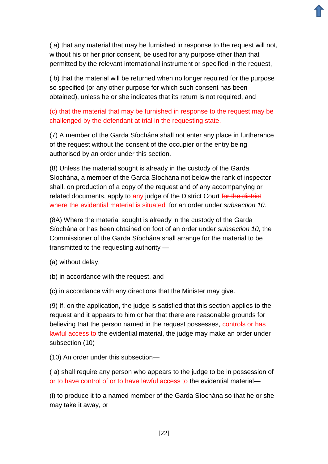( *a*) that any material that may be furnished in response to the request will not, without his or her prior consent, be used for any purpose other than that permitted by the relevant international instrument or specified in the request,

( *b*) that the material will be returned when no longer required for the purpose so specified (or any other purpose for which such consent has been obtained), unless he or she indicates that its return is not required, and

## (c) that the material that may be furnished in response to the request may be challenged by the defendant at trial in the requesting state.

(7) A member of the Garda Síochána shall not enter any place in furtherance of the request without the consent of the occupier or the entry being authorised by an order under this section.

(8) Unless the material sought is already in the custody of the Garda Síochána, a member of the Garda Síochána not below the rank of inspector shall, on production of a copy of the request and of any accompanying or related documents, apply to any judge of the District Court for the district where the evidential material is situated for an order under *subsection 10.* 

(8A) Where the material sought is already in the custody of the Garda Síochána or has been obtained on foot of an order under *subsection 10*, the Commissioner of the Garda Síochána shall arrange for the material to be transmitted to the requesting authority —

(a) without delay,

(b) in accordance with the request, and

(c) in accordance with any directions that the Minister may give.

(9) If, on the application, the judge is satisfied that this section applies to the request and it appears to him or her that there are reasonable grounds for believing that the person named in the request possesses, controls or has lawful access to the evidential material, the judge may make an order under subsection (10)

(10) An order under this subsection—

( *a*) shall require any person who appears to the judge to be in possession of or to have control of or to have lawful access to the evidential material—

(i) to produce it to a named member of the Garda Síochána so that he or she may take it away, or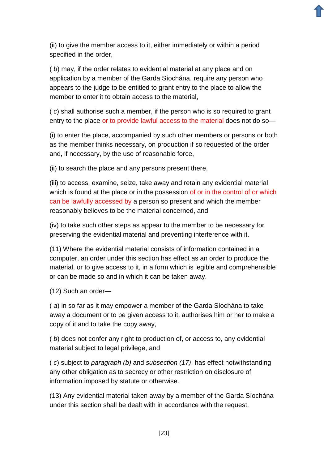(ii) to give the member access to it, either immediately or within a period specified in the order,

( *b*) may, if the order relates to evidential material at any place and on application by a member of the Garda Síochána, require any person who appears to the judge to be entitled to grant entry to the place to allow the member to enter it to obtain access to the material,

( *c*) shall authorise such a member, if the person who is so required to grant entry to the place or to provide lawful access to the material does not do so—

(i) to enter the place, accompanied by such other members or persons or both as the member thinks necessary, on production if so requested of the order and, if necessary, by the use of reasonable force,

(ii) to search the place and any persons present there,

(iii) to access, examine, seize, take away and retain any evidential material which is found at the place or in the possession of or in the control of or which can be lawfully accessed by a person so present and which the member reasonably believes to be the material concerned, and

(iv) to take such other steps as appear to the member to be necessary for preserving the evidential material and preventing interference with it.

(11) Where the evidential material consists of information contained in a computer, an order under this section has effect as an order to produce the material, or to give access to it, in a form which is legible and comprehensible or can be made so and in which it can be taken away.

(12) Such an order—

( *a*) in so far as it may empower a member of the Garda Síochána to take away a document or to be given access to it, authorises him or her to make a copy of it and to take the copy away,

( *b*) does not confer any right to production of, or access to, any evidential material subject to legal privilege, and

( *c*) subject to *paragraph (b)* and *subsection (17)*, has effect notwithstanding any other obligation as to secrecy or other restriction on disclosure of information imposed by statute or otherwise.

(13) Any evidential material taken away by a member of the Garda Síochána under this section shall be dealt with in accordance with the request.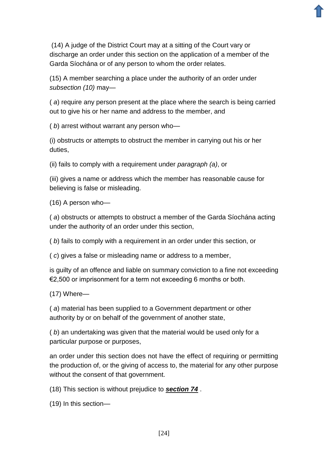(14) A judge of the District Court may at a sitting of the Court vary or discharge an order under this section on the application of a member of the Garda Síochána or of any person to whom the order relates.

(15) A member searching a place under the authority of an order under *subsection (10)* may—

( *a*) require any person present at the place where the search is being carried out to give his or her name and address to the member, and

( *b*) arrest without warrant any person who—

(i) obstructs or attempts to obstruct the member in carrying out his or her duties,

(ii) fails to comply with a requirement under *paragraph (a)*, or

(iii) gives a name or address which the member has reasonable cause for believing is false or misleading.

(16) A person who—

( *a*) obstructs or attempts to obstruct a member of the Garda Síochána acting under the authority of an order under this section,

( *b*) fails to comply with a requirement in an order under this section, or

( *c*) gives a false or misleading name or address to a member,

is guilty of an offence and liable on summary conviction to a fine not exceeding €2,500 or imprisonment for a term not exceeding 6 months or both.

(17) Where—

( *a*) material has been supplied to a Government department or other authority by or on behalf of the government of another state,

( *b*) an undertaking was given that the material would be used only for a particular purpose or purposes,

an order under this section does not have the effect of requiring or permitting the production of, or the giving of access to, the material for any other purpose without the consent of that government.

(18) This section is without prejudice to *[section 74](http://revisedacts.lawreform.ie/eli/2008/act/7/section/74/revised/en/html)* .

(19) In this section—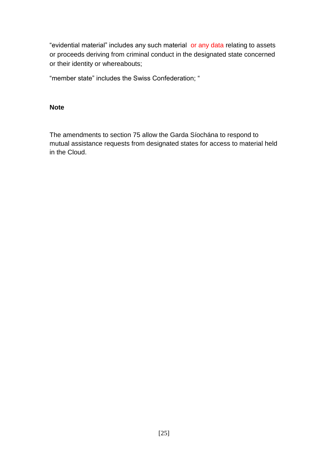"evidential material" includes any such material or any data relating to assets or proceeds deriving from criminal conduct in the designated state concerned or their identity or whereabouts;

"member state" includes the Swiss Confederation; "

#### **Note**

The amendments to section 75 allow the Garda Síochána to respond to mutual assistance requests from designated states for access to material held in the Cloud.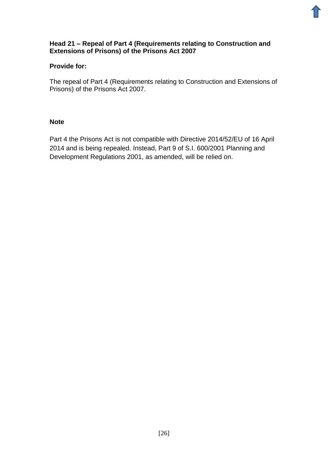

#### **Head 21 – Repeal of Part 4 (Requirements relating to Construction and Extensions of Prisons) of the Prisons Act 2007**

## **Provide for:**

The repeal of Part 4 (Requirements relating to Construction and Extensions of Prisons) of the Prisons Act 2007.

## **Note**

Part 4 the Prisons Act is not compatible with Directive 2014/52/EU of 16 April 2014 and is being repealed. Instead, Part 9 of S.I. 600/2001 Planning and Development Regulations 2001, as amended, will be relied on.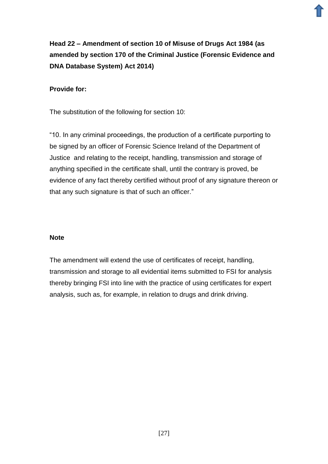# **Head 22 – Amendment of section 10 of Misuse of Drugs Act 1984 (as amended by section 170 of the Criminal Justice (Forensic Evidence and DNA Database System) Act 2014)**

## **Provide for:**

The substitution of the following for section 10:

"10. In any criminal proceedings, the production of a certificate purporting to be signed by an officer of Forensic Science Ireland of the Department of Justice and relating to the receipt, handling, transmission and storage of anything specified in the certificate shall, until the contrary is proved, be evidence of any fact thereby certified without proof of any signature thereon or that any such signature is that of such an officer."

## **Note**

The amendment will extend the use of certificates of receipt, handling, transmission and storage to all evidential items submitted to FSI for analysis thereby bringing FSI into line with the practice of using certificates for expert analysis, such as, for example, in relation to drugs and drink driving.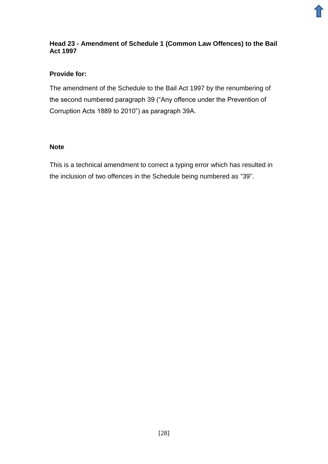## **Head 23 - Amendment of Schedule 1 (Common Law Offences) to the Bail Act 1997**

## **Provide for:**

The amendment of the Schedule to the Bail Act 1997 by the renumbering of the second numbered paragraph 39 ("Any offence under the Prevention of Corruption Acts 1889 to 2010") as paragraph 39A.

## **Note**

This is a technical amendment to correct a typing error which has resulted in the inclusion of two offences in the Schedule being numbered as "39".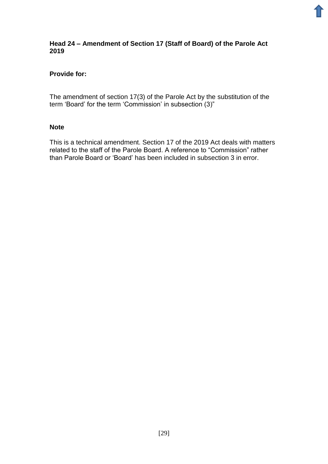#### **Head 24 – Amendment of Section 17 (Staff of Board) of the Parole Act 2019**

## **Provide for:**

The amendment of section 17(3) of the Parole Act by the substitution of the term 'Board' for the term 'Commission' in subsection (3)"

#### **Note**

This is a technical amendment. Section 17 of the 2019 Act deals with matters related to the staff of the Parole Board. A reference to "Commission" rather than Parole Board or 'Board' has been included in subsection 3 in error.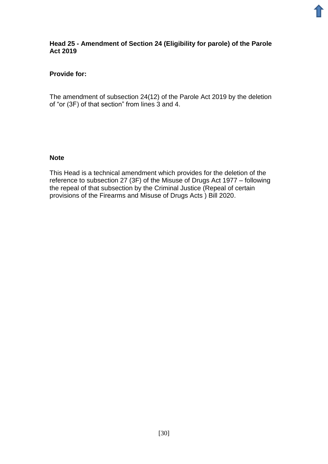#### **Head 25 - Amendment of Section 24 (Eligibility for parole) of the Parole Act 2019**

## **Provide for:**

The amendment of subsection 24(12) of the Parole Act 2019 by the deletion of "or (3F) of that section" from lines 3 and 4.

#### **Note**

This Head is a technical amendment which provides for the deletion of the reference to subsection 27 (3F) of the Misuse of Drugs Act 1977 – following the repeal of that subsection by the Criminal Justice (Repeal of certain provisions of the Firearms and Misuse of Drugs Acts ) Bill 2020.